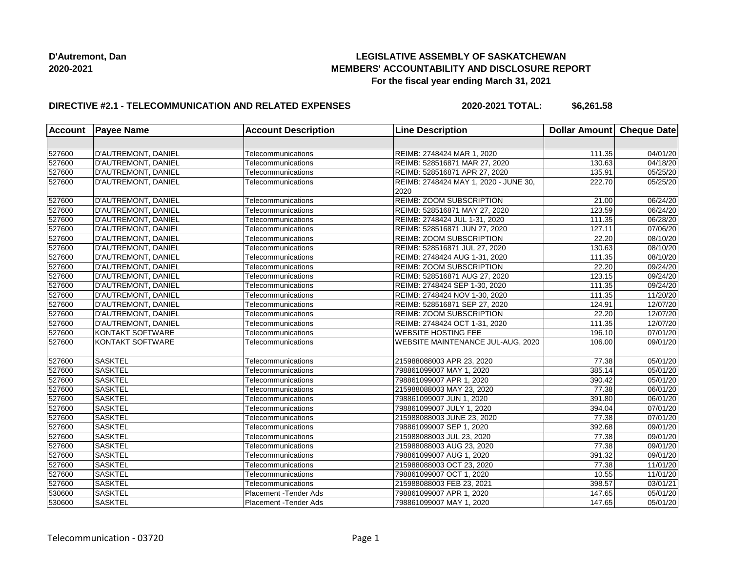## **LEGISLATIVE ASSEMBLY OF SASKATCHEWAN MEMBERS' ACCOUNTABILITY AND DISCLOSURE REPORT For the fiscal year ending March 31, 2021**

## **DIRECTIVE #2.1 - TELECOMMUNICATION AND RELATED EXPENSES**

**2020-2021 TOTAL: \$6,261.58**

|        | Account Payee Name  | <b>Account Description</b> | <b>Line Description</b>               | Dollar Amount Cheque Date |                       |
|--------|---------------------|----------------------------|---------------------------------------|---------------------------|-----------------------|
|        |                     |                            |                                       |                           |                       |
| 527600 | D'AUTREMONT, DANIEL | Telecommunications         | REIMB: 2748424 MAR 1, 2020            | 111.35                    | 04/01/20              |
| 527600 | D'AUTREMONT, DANIEL | Telecommunications         | REIMB: 528516871 MAR 27, 2020         | 130.63                    | 04/18/20              |
| 527600 | D'AUTREMONT, DANIEL | Telecommunications         | REIMB: 528516871 APR 27, 2020         | 135.91                    | 05/25/20              |
| 527600 | D'AUTREMONT, DANIEL | Telecommunications         | REIMB: 2748424 MAY 1, 2020 - JUNE 30, | 222.70                    | 05/25/20              |
|        |                     |                            | 2020                                  |                           |                       |
| 527600 | D'AUTREMONT, DANIEL | Telecommunications         | <b>REIMB: ZOOM SUBSCRIPTION</b>       | 21.00                     | 06/24/20              |
| 527600 | D'AUTREMONT, DANIEL | Telecommunications         | REIMB: 528516871 MAY 27, 2020         | 123.59                    | 06/24/20              |
| 527600 | D'AUTREMONT, DANIEL | Telecommunications         | REIMB: 2748424 JUL 1-31, 2020         | 111.35                    | $\overline{06}/28/20$ |
| 527600 | D'AUTREMONT, DANIEL | Telecommunications         | REIMB: 528516871 JUN 27, 2020         | 127.11                    | 07/06/20              |
| 527600 | D'AUTREMONT, DANIEL | Telecommunications         | REIMB: ZOOM SUBSCRIPTION              | 22.20                     | 08/10/20              |
| 527600 | D'AUTREMONT, DANIEL | Telecommunications         | REIMB: 528516871 JUL 27, 2020         | 130.63                    | 08/10/20              |
| 527600 | D'AUTREMONT, DANIEL | Telecommunications         | REIMB: 2748424 AUG 1-31, 2020         | 111.35                    | $\overline{08}/10/20$ |
| 527600 | D'AUTREMONT, DANIEL | Telecommunications         | REIMB: ZOOM SUBSCRIPTION              | 22.20                     | 09/24/20              |
| 527600 | D'AUTREMONT, DANIEL | Telecommunications         | REIMB: 528516871 AUG 27, 2020         | 123.15                    | 09/24/20              |
| 527600 | D'AUTREMONT, DANIEL | Telecommunications         | REIMB: 2748424 SEP 1-30, 2020         | 111.35                    | 09/24/20              |
| 527600 | D'AUTREMONT, DANIEL | Telecommunications         | REIMB: 2748424 NOV 1-30, 2020         | 111.35                    | 11/20/20              |
| 527600 | D'AUTREMONT, DANIEL | Telecommunications         | REIMB: 528516871 SEP 27, 2020         | 124.91                    | $\overline{12}/07/20$ |
| 527600 | D'AUTREMONT, DANIEL | Telecommunications         | REIMB: ZOOM SUBSCRIPTION              | 22.20                     | 12/07/20              |
| 527600 | D'AUTREMONT, DANIEL | Telecommunications         | REIMB: 2748424 OCT 1-31, 2020         | 111.35                    | 12/07/20              |
| 527600 | KONTAKT SOFTWARE    | Telecommunications         | <b>WEBSITE HOSTING FEE</b>            | 196.10                    | 07/01/20              |
| 527600 | KONTAKT SOFTWARE    | Telecommunications         | WEBSITE MAINTENANCE JUL-AUG, 2020     | 106.00                    | 09/01/20              |
|        |                     |                            |                                       |                           |                       |
| 527600 | <b>SASKTEL</b>      | Telecommunications         | 215988088003 APR 23, 2020             | 77.38                     | 05/01/20              |
| 527600 | <b>SASKTEL</b>      | Telecommunications         | 798861099007 MAY 1, 2020              | 385.14                    | 05/01/20              |
| 527600 | <b>SASKTEL</b>      | Telecommunications         | 798861099007 APR 1, 2020              | 390.42                    | $\overline{05}/01/20$ |
| 527600 | <b>SASKTEL</b>      | Telecommunications         | 215988088003 MAY 23, 2020             | 77.38                     | 06/01/20              |
| 527600 | <b>SASKTEL</b>      | Telecommunications         | 798861099007 JUN 1, 2020              | 391.80                    | 06/01/20              |
| 527600 | <b>SASKTEL</b>      | Telecommunications         | 798861099007 JULY 1, 2020             | 394.04                    | 07/01/20              |
| 527600 | <b>SASKTEL</b>      | Telecommunications         | 215988088003 JUNE 23, 2020            | 77.38                     | 07/01/20              |
| 527600 | <b>SASKTEL</b>      | Telecommunications         | 798861099007 SEP 1, 2020              | 392.68                    | 09/01/20              |
| 527600 | <b>SASKTEL</b>      | Telecommunications         | 215988088003 JUL 23, 2020             | 77.38                     | 09/01/20              |
| 527600 | <b>SASKTEL</b>      | Telecommunications         | 215988088003 AUG 23, 2020             | 77.38                     | 09/01/20              |
| 527600 | <b>SASKTEL</b>      | Telecommunications         | 798861099007 AUG 1, 2020              | 391.32                    | 09/01/20              |
| 527600 | <b>SASKTEL</b>      | Telecommunications         | 215988088003 OCT 23, 2020             | 77.38                     | $\overline{11}/01/20$ |
| 527600 | <b>SASKTEL</b>      | Telecommunications         | 798861099007 OCT 1, 2020              | 10.55                     | 11/01/20              |
| 527600 | <b>SASKTEL</b>      | Telecommunications         | 215988088003 FEB 23, 2021             | 398.57                    | 03/01/21              |
| 530600 | <b>SASKTEL</b>      | Placement - Tender Ads     | 798861099007 APR 1, 2020              | 147.65                    | 05/01/20              |
| 530600 | <b>SASKTEL</b>      | Placement - Tender Ads     | 798861099007 MAY 1, 2020              | 147.65                    | 05/01/20              |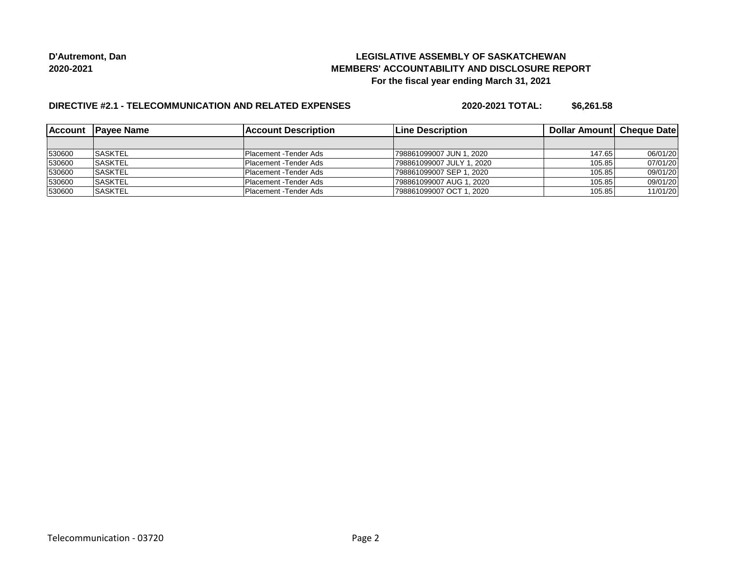## **LEGISLATIVE ASSEMBLY OF SASKATCHEWAN MEMBERS' ACCOUNTABILITY AND DISCLOSURE REPORT For the fiscal year ending March 31, 2021**

# **DIRECTIVE #2.1 - TELECOMMUNICATION AND RELATED EXPENSES**

**2020-2021 TOTAL: \$6,261.58**

|        | Account Payee Name | lAccount Description   | 'Line Description         | <b>Dollar Amountl Cheque Date</b> |          |
|--------|--------------------|------------------------|---------------------------|-----------------------------------|----------|
|        |                    |                        |                           |                                   |          |
| 530600 | <b>ISASKTEL</b>    | Placement - Tender Ads | 798861099007 JUN 1. 2020  | 147.65                            | 06/01/20 |
| 530600 | <b>ISASKTEL</b>    | Placement - Tender Ads | 798861099007 JULY 1. 2020 | 105.85                            | 07/01/20 |
| 530600 | <b>SASKTEL</b>     | Placement - Tender Ads | 798861099007 SEP 1, 2020  | 105.85                            | 09/01/20 |
| 530600 | <b>ISASKTEL</b>    | Placement - Tender Ads | 798861099007 AUG 1. 2020  | 105.85                            | 09/01/20 |
| 530600 | <b>SASKTEL</b>     | Placement - Tender Ads | 798861099007 OCT 1, 2020  | 105.85                            | 11/01/20 |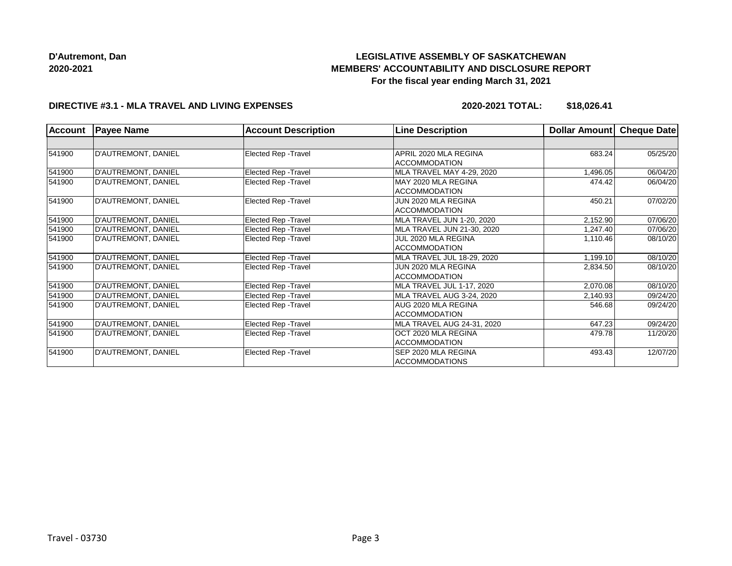# **LEGISLATIVE ASSEMBLY OF SASKATCHEWAN MEMBERS' ACCOUNTABILITY AND DISCLOSURE REPORT For the fiscal year ending March 31, 2021**

#### **DIRECTIVE #3.1 - MLA TRAVEL AND LIVING EXPENSES**

**2020-2021 TOTAL: \$18,026.41**

| <b>Account</b> | <b>Payee Name</b>          | <b>Account Description</b>  | <b>Line Description</b>                       | Dollar Amount | Cheque Date |
|----------------|----------------------------|-----------------------------|-----------------------------------------------|---------------|-------------|
|                |                            |                             |                                               |               |             |
| 541900         | D'AUTREMONT, DANIEL        | Elected Rep - Travel        | APRIL 2020 MLA REGINA<br><b>ACCOMMODATION</b> | 683.24        | 05/25/20    |
| 541900         | D'AUTREMONT, DANIEL        | Elected Rep - Travel        | MLA TRAVEL MAY 4-29, 2020                     | 1,496.05      | 06/04/20    |
| 541900         | D'AUTREMONT, DANIEL        | Elected Rep - Travel        | MAY 2020 MLA REGINA<br><b>ACCOMMODATION</b>   | 474.42        | 06/04/20    |
| 541900         | D'AUTREMONT, DANIEL        | Elected Rep - Travel        | JUN 2020 MLA REGINA<br><b>ACCOMMODATION</b>   | 450.21        | 07/02/20    |
| 541900         | D'AUTREMONT, DANIEL        | Elected Rep - Travel        | MLA TRAVEL JUN 1-20, 2020                     | 2,152.90      | 07/06/20    |
| 541900         | D'AUTREMONT, DANIEL        | Elected Rep - Travel        | MLA TRAVEL JUN 21-30, 2020                    | 1,247.40      | 07/06/20    |
| 541900         | D'AUTREMONT, DANIEL        | Elected Rep - Travel        | JUL 2020 MLA REGINA<br><b>ACCOMMODATION</b>   | 1,110.46      | 08/10/20    |
| 541900         | D'AUTREMONT, DANIEL        | Elected Rep - Travel        | MLA TRAVEL JUL 18-29, 2020                    | 1,199.10      | 08/10/20    |
| 541900         | D'AUTREMONT, DANIEL        | <b>Elected Rep - Travel</b> | JUN 2020 MLA REGINA<br><b>ACCOMMODATION</b>   | 2,834.50      | 08/10/20    |
| 541900         | <b>D'AUTREMONT, DANIEL</b> | Elected Rep - Travel        | MLA TRAVEL JUL 1-17, 2020                     | 2,070.08      | 08/10/20    |
| 541900         | D'AUTREMONT, DANIEL        | Elected Rep - Travel        | MLA TRAVEL AUG 3-24, 2020                     | 2,140.93      | 09/24/20    |
| 541900         | D'AUTREMONT, DANIEL        | Elected Rep - Travel        | AUG 2020 MLA REGINA<br><b>ACCOMMODATION</b>   | 546.68        | 09/24/20    |
| 541900         | D'AUTREMONT, DANIEL        | Elected Rep - Travel        | MLA TRAVEL AUG 24-31, 2020                    | 647.23        | 09/24/20    |
| 541900         | D'AUTREMONT, DANIEL        | Elected Rep - Travel        | OCT 2020 MLA REGINA<br><b>ACCOMMODATION</b>   | 479.78        | 11/20/20    |
| 541900         | D'AUTREMONT, DANIEL        | Elected Rep - Travel        | SEP 2020 MLA REGINA<br><b>ACCOMMODATIONS</b>  | 493.43        | 12/07/20    |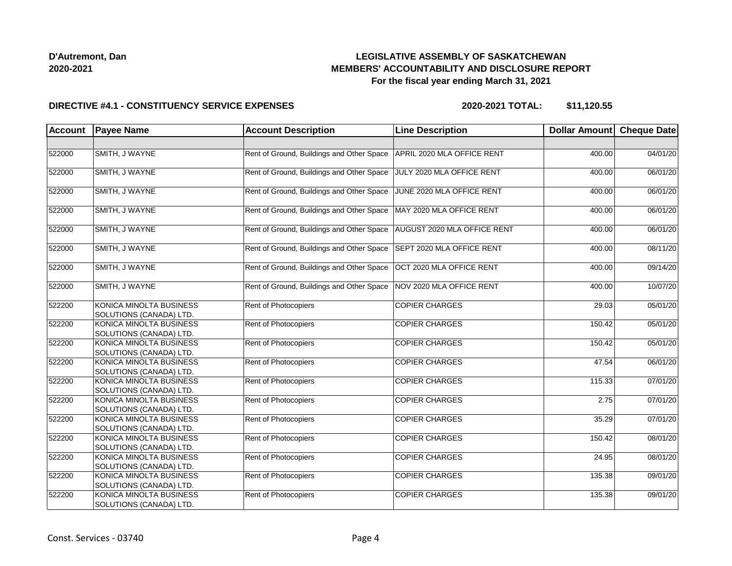## **LEGISLATIVE ASSEMBLY OF SASKATCHEWAN MEMBERS' ACCOUNTABILITY AND DISCLOSURE REPORT For the fiscal year ending March 31, 2021**

#### **DIRECTIVE #4.1 - CONSTITUENCY SERVICE EXPENSES**

**2020-2021 TOTAL: \$11,120.55**

| <b>Account</b> | <b>Payee Name</b>                                         | <b>Account Description</b>                | <b>Line Description</b>     | Dollar Amount | <b>Cheque Date</b> |
|----------------|-----------------------------------------------------------|-------------------------------------------|-----------------------------|---------------|--------------------|
|                |                                                           |                                           |                             |               |                    |
| 522000         | SMITH, J WAYNE                                            | Rent of Ground, Buildings and Other Space | APRIL 2020 MLA OFFICE RENT  | 400.00        | 04/01/20           |
| 522000         | SMITH, J WAYNE                                            | Rent of Ground, Buildings and Other Space | JULY 2020 MLA OFFICE RENT   | 400.00        | 06/01/20           |
| 522000         | SMITH, J WAYNE                                            | Rent of Ground, Buildings and Other Space | JUNE 2020 MLA OFFICE RENT   | 400.00        | 06/01/20           |
| 522000         | SMITH, J WAYNE                                            | Rent of Ground, Buildings and Other Space | MAY 2020 MLA OFFICE RENT    | 400.00        | 06/01/20           |
| 522000         | SMITH, J WAYNE                                            | Rent of Ground, Buildings and Other Space | AUGUST 2020 MLA OFFICE RENT | 400.00        | 06/01/20           |
| 522000         | SMITH, J WAYNE                                            | Rent of Ground, Buildings and Other Space | SEPT 2020 MLA OFFICE RENT   | 400.00        | 08/11/20           |
| 522000         | SMITH, J WAYNE                                            | Rent of Ground, Buildings and Other Space | OCT 2020 MLA OFFICE RENT    | 400.00        | 09/14/20           |
| 522000         | SMITH, J WAYNE                                            | Rent of Ground, Buildings and Other Space | NOV 2020 MLA OFFICE RENT    | 400.00        | 10/07/20           |
| 522200         | KONICA MINOLTA BUSINESS<br>SOLUTIONS (CANADA) LTD.        | <b>Rent of Photocopiers</b>               | <b>COPIER CHARGES</b>       | 29.03         | 05/01/20           |
| 522200         | KONICA MINOLTA BUSINESS<br>SOLUTIONS (CANADA) LTD.        | <b>Rent of Photocopiers</b>               | <b>COPIER CHARGES</b>       | 150.42        | 05/01/20           |
| 522200         | KONICA MINOLTA BUSINESS<br>SOLUTIONS (CANADA) LTD.        | <b>Rent of Photocopiers</b>               | <b>COPIER CHARGES</b>       | 150.42        | 05/01/20           |
| 522200         | KONICA MINOLTA BUSINESS<br>SOLUTIONS (CANADA) LTD.        | Rent of Photocopiers                      | <b>COPIER CHARGES</b>       | 47.54         | 06/01/20           |
| 522200         | KONICA MINOLTA BUSINESS<br>SOLUTIONS (CANADA) LTD.        | <b>Rent of Photocopiers</b>               | <b>COPIER CHARGES</b>       | 115.33        | 07/01/20           |
| 522200         | KONICA MINOLTA BUSINESS<br>SOLUTIONS (CANADA) LTD.        | <b>Rent of Photocopiers</b>               | <b>COPIER CHARGES</b>       | 2.75          | 07/01/20           |
| 522200         | KONICA MINOLTA BUSINESS<br>SOLUTIONS (CANADA) LTD.        | <b>Rent of Photocopiers</b>               | <b>COPIER CHARGES</b>       | 35.29         | 07/01/20           |
| 522200         | KONICA MINOLTA BUSINESS<br>SOLUTIONS (CANADA) LTD.        | Rent of Photocopiers                      | <b>COPIER CHARGES</b>       | 150.42        | 08/01/20           |
| 522200         | KONICA MINOLTA BUSINESS<br>SOLUTIONS (CANADA) LTD.        | Rent of Photocopiers                      | <b>COPIER CHARGES</b>       | 24.95         | 08/01/20           |
| 522200         | <b>KONICA MINOLTA BUSINESS</b><br>SOLUTIONS (CANADA) LTD. | Rent of Photocopiers                      | <b>COPIER CHARGES</b>       | 135.38        | 09/01/20           |
| 522200         | KONICA MINOLTA BUSINESS<br>SOLUTIONS (CANADA) LTD.        | Rent of Photocopiers                      | <b>COPIER CHARGES</b>       | 135.38        | 09/01/20           |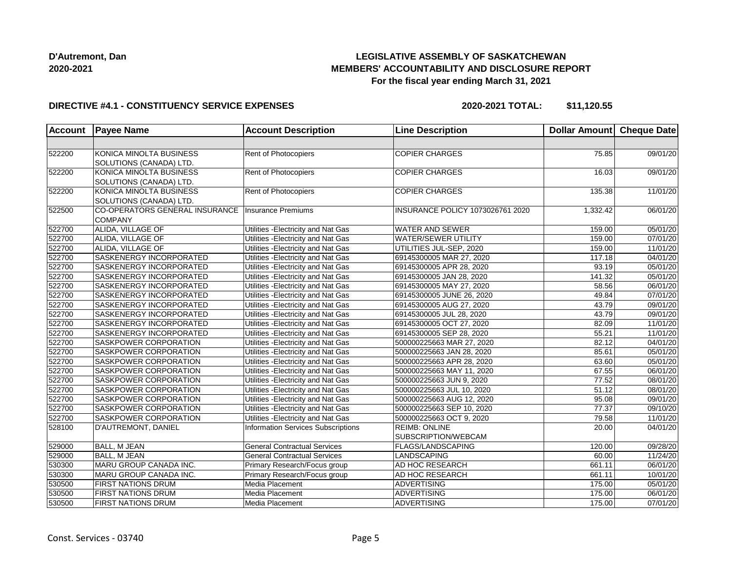## **LEGISLATIVE ASSEMBLY OF SASKATCHEWAN MEMBERS' ACCOUNTABILITY AND DISCLOSURE REPORT For the fiscal year ending March 31, 2021**

#### **DIRECTIVE #4.1 - CONSTITUENCY SERVICE EXPENSES**

**2020-2021 TOTAL: \$11,120.55**

| <b>Account</b> | <b>Payee Name</b>                                  | <b>Account Description</b>          | <b>Line Description</b>          | Dollar Amount Cheque Date |                       |
|----------------|----------------------------------------------------|-------------------------------------|----------------------------------|---------------------------|-----------------------|
|                |                                                    |                                     |                                  |                           |                       |
| 522200         | KONICA MINOLTA BUSINESS<br>SOLUTIONS (CANADA) LTD. | Rent of Photocopiers                | <b>COPIER CHARGES</b>            | 75.85                     | 09/01/20              |
| 522200         | KONICA MINOLTA BUSINESS<br>SOLUTIONS (CANADA) LTD. | Rent of Photocopiers                | <b>COPIER CHARGES</b>            | 16.03                     | 09/01/20              |
| 522200         | KONICA MINOLTA BUSINESS<br>SOLUTIONS (CANADA) LTD. | Rent of Photocopiers                | <b>COPIER CHARGES</b>            | 135.38                    | 11/01/20              |
| 522500         | CO-OPERATORS GENERAL INSURANCE<br><b>COMPANY</b>   | Insurance Premiums                  | INSURANCE POLICY 1073026761 2020 | 1,332.42                  | 06/01/20              |
| 522700         | ALIDA, VILLAGE OF                                  | Utilities - Electricity and Nat Gas | <b>WATER AND SEWER</b>           | 159.00                    | $\overline{05/0}1/20$ |
| 522700         | ALIDA, VILLAGE OF                                  | Utilities - Electricity and Nat Gas | <b>WATER/SEWER UTILITY</b>       | 159.00                    | 07/01/20              |
| 522700         | ALIDA, VILLAGE OF                                  | Utilities - Electricity and Nat Gas | UTILITIES JUL-SEP, 2020          | 159.00                    | 11/01/20              |
| 522700         | SASKENERGY INCORPORATED                            | Utilities - Electricity and Nat Gas | 69145300005 MAR 27, 2020         | 117.18                    | $\overline{04/01/20}$ |
| 522700         | SASKENERGY INCORPORATED                            | Utilities - Electricity and Nat Gas | 69145300005 APR 28, 2020         | 93.19                     | 05/01/20              |
| 522700         | SASKENERGY INCORPORATED                            | Utilities - Electricity and Nat Gas | 69145300005 JAN 28, 2020         | 141.32                    | 05/01/20              |
| 522700         | <b>SASKENERGY INCORPORATED</b>                     | Utilities - Electricity and Nat Gas | 69145300005 MAY 27, 2020         | 58.56                     | 06/01/20              |
| 522700         | SASKENERGY INCORPORATED                            | Utilities - Electricity and Nat Gas | 69145300005 JUNE 26, 2020        | 49.84                     | 07/01/20              |
| 522700         | SASKENERGY INCORPORATED                            | Utilities - Electricity and Nat Gas | 69145300005 AUG 27, 2020         | 43.79                     | 09/01/20              |
| 522700         | SASKENERGY INCORPORATED                            | Utilities - Electricity and Nat Gas | 69145300005 JUL 28, 2020         | 43.79                     | 09/01/20              |
| 522700         | SASKENERGY INCORPORATED                            | Utilities - Electricity and Nat Gas | 69145300005 OCT 27, 2020         | 82.09                     | 11/01/20              |
| 522700         | <b>SASKENERGY INCORPORATED</b>                     | Utilities - Electricity and Nat Gas | 69145300005 SEP 28, 2020         | 55.21                     | 11/01/20              |
| 522700         | SASKPOWER CORPORATION                              | Utilities - Electricity and Nat Gas | 500000225663 MAR 27, 2020        | 82.12                     | 04/01/20              |
| 522700         | SASKPOWER CORPORATION                              | Utilities - Electricity and Nat Gas | 500000225663 JAN 28, 2020        | 85.61                     | 05/01/20              |
| 522700         | SASKPOWER CORPORATION                              | Utilities - Electricity and Nat Gas | 500000225663 APR 28, 2020        | 63.60                     | 05/01/20              |
| 522700         | SASKPOWER CORPORATION                              | Utilities - Electricity and Nat Gas | 500000225663 MAY 11, 2020        | 67.55                     | 06/01/20              |
| 522700         | SASKPOWER CORPORATION                              | Utilities - Electricity and Nat Gas | 500000225663 JUN 9, 2020         | 77.52                     | 08/01/20              |
| 522700         | <b>SASKPOWER CORPORATION</b>                       | Utilities - Electricity and Nat Gas | 500000225663 JUL 10, 2020        | 51.12                     | 08/01/20              |
| 522700         | <b>SASKPOWER CORPORATION</b>                       | Utilities - Electricity and Nat Gas | 500000225663 AUG 12, 2020        | 95.08                     | 09/01/20              |
| 522700         | <b>SASKPOWER CORPORATION</b>                       | Utilities - Electricity and Nat Gas | 500000225663 SEP 10, 2020        | 77.37                     | 09/10/20              |
| 522700         | <b>SASKPOWER CORPORATION</b>                       | Utilities - Electricity and Nat Gas | 500000225663 OCT 9, 2020         | 79.58                     | 11/01/20              |
| 528100         | D'AUTREMONT, DANIEL                                | Information Services Subscriptions  | <b>REIMB: ONLINE</b>             | 20.00                     | 04/01/20              |
|                |                                                    |                                     | SUBSCRIPTION/WEBCAM              |                           |                       |
| 529000         | <b>BALL, M JEAN</b>                                | <b>General Contractual Services</b> | FLAGS/LANDSCAPING                | 120.00                    | 09/28/20              |
| 529000         | BALL, M JEAN                                       | <b>General Contractual Services</b> | LANDSCAPING                      | 60.00                     | 11/24/20              |
| 530300         | MARU GROUP CANADA INC.                             | Primary Research/Focus group        | <b>AD HOC RESEARCH</b>           | 661.11                    | 06/01/20              |
| 530300         | MARU GROUP CANADA INC.                             | Primary Research/Focus group        | AD HOC RESEARCH                  | 661.11                    | 10/01/20              |
| 530500         | <b>FIRST NATIONS DRUM</b>                          | Media Placement                     | ADVERTISING                      | 175.00                    | 05/01/20              |
| 530500         | <b>FIRST NATIONS DRUM</b>                          | Media Placement                     | <b>ADVERTISING</b>               | 175.00                    | 06/01/20              |
| 530500         | <b>FIRST NATIONS DRUM</b>                          | Media Placement                     | ADVERTISING                      | 175.00                    | 07/01/20              |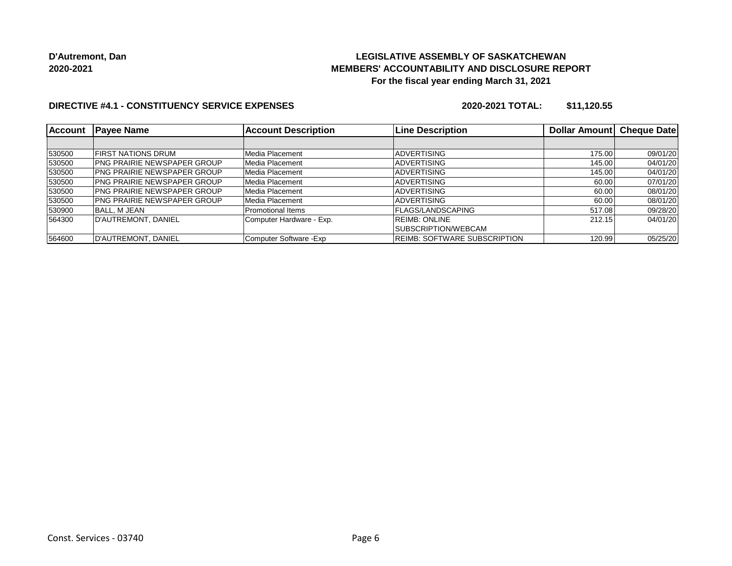## **LEGISLATIVE ASSEMBLY OF SASKATCHEWAN MEMBERS' ACCOUNTABILITY AND DISCLOSURE REPORT For the fiscal year ending March 31, 2021**

### **DIRECTIVE #4.1 - CONSTITUENCY SERVICE EXPENSES**

**2020-2021 TOTAL: \$11,120.55**

| <b>Account</b> | <b>Payee Name</b>                   | <b>Account Description</b> | <b>Line Description</b>             | Dollar Amount | <b>Cheque Date</b> |
|----------------|-------------------------------------|----------------------------|-------------------------------------|---------------|--------------------|
|                |                                     |                            |                                     |               |                    |
| 530500         | <b>FIRST NATIONS DRUM</b>           | Media Placement            | <b>ADVERTISING</b>                  | 175.00        | 09/01/20           |
| 530500         | <b>IPNG PRAIRIE NEWSPAPER GROUP</b> | Media Placement            | <b>ADVERTISING</b>                  | 145.00        | 04/01/20           |
| 530500         | <b>IPNG PRAIRIE NEWSPAPER GROUP</b> | Media Placement            | <b>ADVERTISING</b>                  | 145.00        | 04/01/20           |
| 530500         | <b>IPNG PRAIRIE NEWSPAPER GROUP</b> | Media Placement            | <b>ADVERTISING</b>                  | 60.00         | 07/01/20           |
| 530500         | <b>IPNG PRAIRIE NEWSPAPER GROUP</b> | Media Placement            | <b>ADVERTISING</b>                  | 60.00         | 08/01/20           |
| 530500         | <b>IPNG PRAIRIE NEWSPAPER GROUP</b> | Media Placement            | <b>ADVERTISING</b>                  | 60.00         | 08/01/20           |
| 530900         | IBALL. M JEAN                       | <b>Promotional Items</b>   | FLAGS/LANDSCAPING                   | 517.08        | 09/28/20           |
| 564300         | D'AUTREMONT, DANIEL                 | Computer Hardware - Exp.   | <b>REIMB: ONLINE</b>                | 212.15        | 04/01/20           |
|                |                                     |                            | SUBSCRIPTION/WEBCAM                 |               |                    |
| 564600         | D'AUTREMONT, DANIEL                 | Computer Software - Exp    | <b>REIMB: SOFTWARE SUBSCRIPTION</b> | 120.99        | 05/25/20           |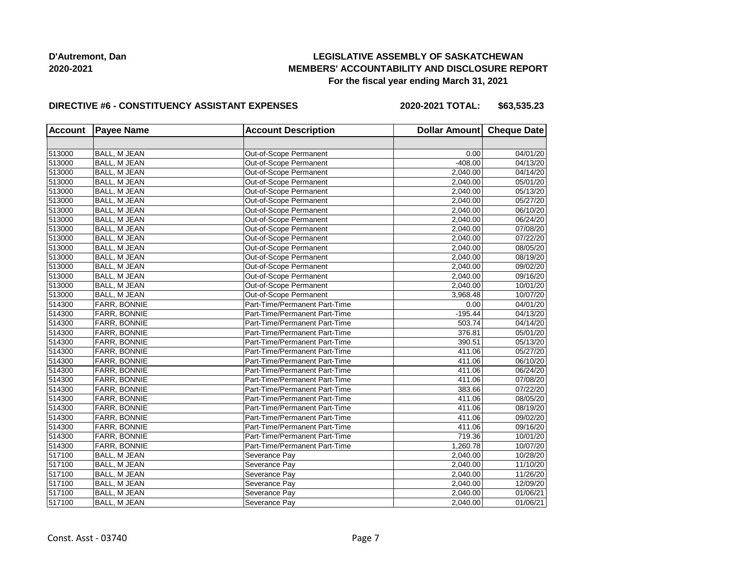## **LEGISLATIVE ASSEMBLY OF SASKATCHEWAN MEMBERS' ACCOUNTABILITY AND DISCLOSURE REPORT For the fiscal year ending March 31, 2021**

#### **DIRECTIVE #6 - CONSTITUENCY ASSISTANT EXPENSES**

**2020-2021 TOTAL: \$63,535.23**

| <b>Account</b> | <b>Payee Name</b>   | <b>Account Description</b>    | Dollar Amount Cheque Date |          |
|----------------|---------------------|-------------------------------|---------------------------|----------|
|                |                     |                               |                           |          |
| 513000         | BALL, M JEAN        | Out-of-Scope Permanent        | 0.00                      | 04/01/20 |
| 513000         | BALL, M JEAN        | Out-of-Scope Permanent        | $-408.00$                 | 04/13/20 |
| 513000         | BALL, M JEAN        | Out-of-Scope Permanent        | 2,040.00                  | 04/14/20 |
| 513000         | <b>BALL, M JEAN</b> | Out-of-Scope Permanent        | 2,040.00                  | 05/01/20 |
| 513000         | BALL, M JEAN        | Out-of-Scope Permanent        | 2,040.00                  | 05/13/20 |
| 513000         | <b>BALL, M JEAN</b> | Out-of-Scope Permanent        | 2,040.00                  | 05/27/20 |
| 513000         | <b>BALL, M JEAN</b> | Out-of-Scope Permanent        | 2,040.00                  | 06/10/20 |
| 513000         | <b>BALL, M JEAN</b> | Out-of-Scope Permanent        | 2,040.00                  | 06/24/20 |
| 513000         | <b>BALL, M JEAN</b> | Out-of-Scope Permanent        | 2,040.00                  | 07/08/20 |
| 513000         | BALL, M JEAN        | Out-of-Scope Permanent        | 2,040.00                  | 07/22/20 |
| 513000         | BALL, M JEAN        | Out-of-Scope Permanent        | 2,040.00                  | 08/05/20 |
| 513000         | <b>BALL, M JEAN</b> | Out-of-Scope Permanent        | 2.040.00                  | 08/19/20 |
| 513000         | BALL, M JEAN        | Out-of-Scope Permanent        | 2,040.00                  | 09/02/20 |
| 513000         | BALL, M JEAN        | Out-of-Scope Permanent        | 2,040.00                  | 09/16/20 |
| 513000         | <b>BALL, M JEAN</b> | Out-of-Scope Permanent        | 2,040.00                  | 10/01/20 |
| 513000         | BALL, M JEAN        | Out-of-Scope Permanent        | 3,968.48                  | 10/07/20 |
| 514300         | FARR, BONNIE        | Part-Time/Permanent Part-Time | 0.00                      | 04/01/20 |
| 514300         | FARR, BONNIE        | Part-Time/Permanent Part-Time | $-195.44$                 | 04/13/20 |
| 514300         | FARR, BONNIE        | Part-Time/Permanent Part-Time | 503.74                    | 04/14/20 |
| 514300         | FARR, BONNIE        | Part-Time/Permanent Part-Time | 376.81                    | 05/01/20 |
| 514300         | <b>FARR, BONNIE</b> | Part-Time/Permanent Part-Time | 390.51                    | 05/13/20 |
| 514300         | FARR, BONNIE        | Part-Time/Permanent Part-Time | 411.06                    | 05/27/20 |
| 514300         | FARR, BONNIE        | Part-Time/Permanent Part-Time | 411.06                    | 06/10/20 |
| 514300         | FARR, BONNIE        | Part-Time/Permanent Part-Time | 411.06                    | 06/24/20 |
| 514300         | FARR, BONNIE        | Part-Time/Permanent Part-Time | 411.06                    | 07/08/20 |
| 514300         | FARR, BONNIE        | Part-Time/Permanent Part-Time | 383.66                    | 07/22/20 |
| 514300         | FARR, BONNIE        | Part-Time/Permanent Part-Time | 411.06                    | 08/05/20 |
| 514300         | FARR, BONNIE        | Part-Time/Permanent Part-Time | 411.06                    | 08/19/20 |
| 514300         | FARR, BONNIE        | Part-Time/Permanent Part-Time | 411.06                    | 09/02/20 |
| 514300         | FARR, BONNIE        | Part-Time/Permanent Part-Time | 411.06                    | 09/16/20 |
| 514300         | FARR, BONNIE        | Part-Time/Permanent Part-Time | 719.36                    | 10/01/20 |
| 514300         | FARR, BONNIE        | Part-Time/Permanent Part-Time | 1,260.78                  | 10/07/20 |
| 517100         | <b>BALL, M JEAN</b> | Severance Pay                 | 2,040.00                  | 10/28/20 |
| 517100         | <b>BALL, M JEAN</b> | Severance Pay                 | 2,040.00                  | 11/10/20 |
| 517100         | BALL, M JEAN        | Severance Pay                 | 2,040.00                  | 11/26/20 |
| 517100         | <b>BALL, M JEAN</b> | Severance Pay                 | 2,040.00                  | 12/09/20 |
| 517100         | BALL, M JEAN        | Severance Pay                 | 2,040.00                  | 01/06/21 |
| 517100         | <b>BALL, M JEAN</b> | Severance Pay                 | 2,040.00                  | 01/06/21 |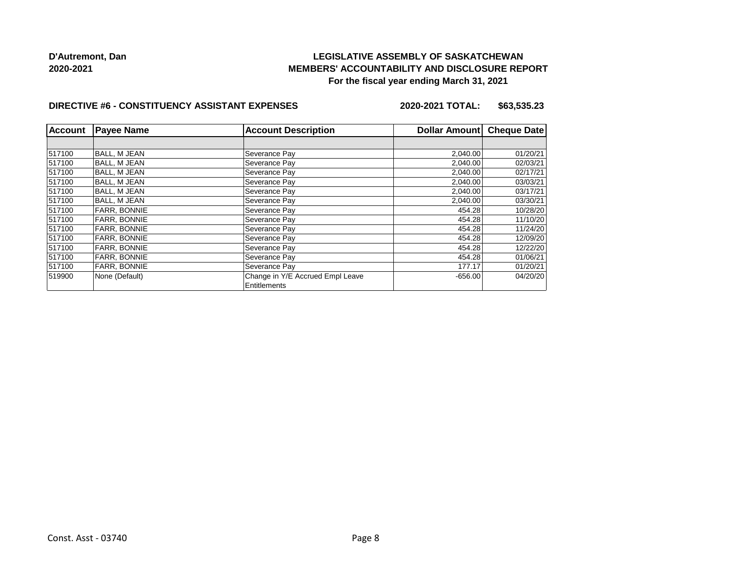## **LEGISLATIVE ASSEMBLY OF SASKATCHEWAN MEMBERS' ACCOUNTABILITY AND DISCLOSURE REPORT For the fiscal year ending March 31, 2021**

#### **DIRECTIVE #6 - CONSTITUENCY ASSISTANT EXPENSES**

**2020-2021 TOTAL: \$63,535.23**

| <b>Account</b> | <b>Payee Name</b>   | <b>Account Description</b>       | Dollar Amount | <b>Cheque Date</b> |
|----------------|---------------------|----------------------------------|---------------|--------------------|
|                |                     |                                  |               |                    |
| 517100         | <b>BALL, M JEAN</b> | Severance Pay                    | 2,040.00      | 01/20/21           |
| 517100         | <b>BALL, M JEAN</b> | Severance Pay                    | 2,040.00      | 02/03/21           |
| 517100         | <b>BALL, M JEAN</b> | Severance Pay                    | 2,040.00      | 02/17/21           |
| 517100         | <b>BALL, M JEAN</b> | Severance Pay                    | 2,040.00      | 03/03/21           |
| 517100         | <b>BALL, M JEAN</b> | Severance Pay                    | 2,040.00      | 03/17/21           |
| 517100         | <b>BALL. M JEAN</b> | Severance Pay                    | 2,040.00      | 03/30/21           |
| 517100         | <b>FARR. BONNIE</b> | Severance Pay                    | 454.28        | 10/28/20           |
| 517100         | <b>FARR, BONNIE</b> | Severance Pay                    | 454.28        | 11/10/20           |
| 517100         | <b>FARR, BONNIE</b> | Severance Pay                    | 454.28        | 11/24/20           |
| 517100         | FARR, BONNIE        | Severance Pay                    | 454.28        | 12/09/20           |
| 517100         | <b>FARR, BONNIE</b> | Severance Pay                    | 454.28        | 12/22/20           |
| 517100         | <b>FARR. BONNIE</b> | Severance Pay                    | 454.28        | 01/06/21           |
| 517100         | FARR, BONNIE        | Severance Pay                    | 177.17        | 01/20/21           |
| 519900         | None (Default)      | Change in Y/E Accrued Empl Leave | $-656.00$     | 04/20/20           |
|                |                     | Entitlements                     |               |                    |